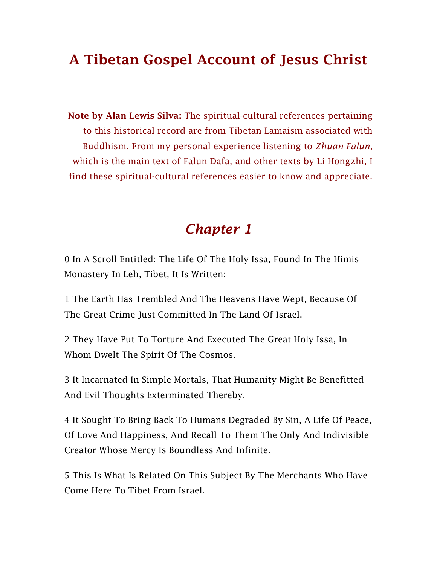# A Tibetan Gospel Account of Jesus Christ

Note by Alan Lewis Silva: The spiritual-cultural references pertaining to this historical record are from Tibetan Lamaism associated with Buddhism. From my personal experience listening to *Zhuan Falun*, which is the main text of Falun Dafa, and other texts by Li Hongzhi, I find these spiritual-cultural references easier to know and appreciate.

#### *Chapter 1*

0 In A Scroll Entitled: The Life Of The Holy Issa, Found In The Himis Monastery In Leh, Tibet, It Is Written:

1 The Earth Has Trembled And The Heavens Have Wept, Because Of The Great Crime Just Committed In The Land Of Israel.

2 They Have Put To Torture And Executed The Great Holy Issa, In Whom Dwelt The Spirit Of The Cosmos.

3 It Incarnated In Simple Mortals, That Humanity Might Be Benefitted And Evil Thoughts Exterminated Thereby.

4 It Sought To Bring Back To Humans Degraded By Sin, A Life Of Peace, Of Love And Happiness, And Recall To Them The Only And Indivisible Creator Whose Mercy Is Boundless And Infinite.

5 This Is What Is Related On This Subject By The Merchants Who Have Come Here To Tibet From Israel.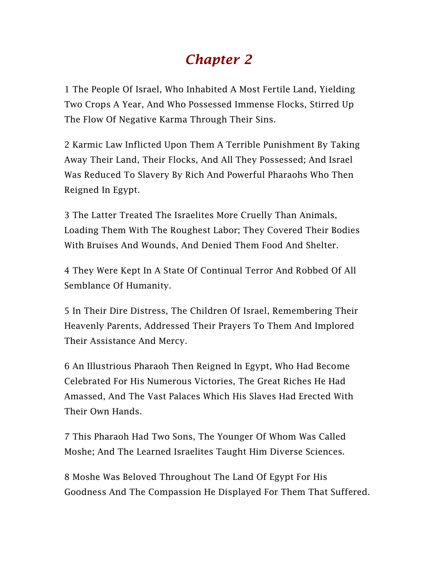# *Chapter 2*

1 The People Of Israel, Who Inhabited A Most Fertile Land, Yielding Two Crops A Year, And Who Possessed Immense Flocks, Stirred Up The Flow Of Negative Karma Through Their Sins.

2 Karmic Law Inflicted Upon Them A Terrible Punishment By Taking Away Their Land, Their Flocks, And All They Possessed; And Israel Was Reduced To Slavery By Rich And Powerful Pharaohs Who Then Reigned In Egypt.

3 The Latter Treated The Israelites More Cruelly Than Animals, Loading Them With The Roughest Labor; They Covered Their Bodies With Bruises And Wounds, And Denied Them Food And Shelter.

4 They Were Kept In A State Of Continual Terror And Robbed Of All Semblance Of Humanity.

5 In Their Dire Distress, The Children Of Israel, Remembering Their Heavenly Parents, Addressed Their Prayers To Them And Implored Their Assistance And Mercy.

6 An Illustrious Pharaoh Then Reigned In Egypt, Who Had Become Celebrated For His Numerous Victories, The Great Riches He Had Amassed, And The Vast Palaces Which His Slaves Had Erected With Their Own Hands.

7 This Pharaoh Had Two Sons, The Younger Of Whom Was Called Moshe; And The Learned Israelites Taught Him Diverse Sciences.

8 Moshe Was Beloved Throughout The Land Of Egypt For His Goodness And The Compassion He Displayed For Them That Suffered.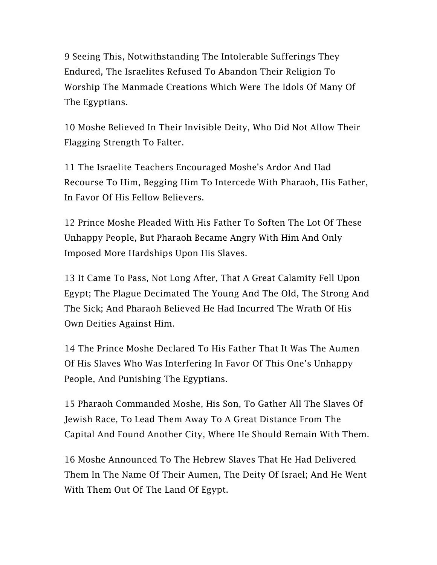9 Seeing This, Notwithstanding The Intolerable Sufferings They Endured, The Israelites Refused To Abandon Their Religion To Worship The Manmade Creations Which Were The Idols Of Many Of The Egyptians.

10 Moshe Believed In Their Invisible Deity, Who Did Not Allow Their Flagging Strength To Falter.

11 The Israelite Teachers Encouraged Moshe's Ardor And Had Recourse To Him, Begging Him To Intercede With Pharaoh, His Father, In Favor Of His Fellow Believers.

12 Prince Moshe Pleaded With His Father To Soften The Lot Of These Unhappy People, But Pharaoh Became Angry With Him And Only Imposed More Hardships Upon His Slaves.

13 It Came To Pass, Not Long After, That A Great Calamity Fell Upon Egypt; The Plague Decimated The Young And The Old, The Strong And The Sick; And Pharaoh Believed He Had Incurred The Wrath Of His Own Deities Against Him.

14 The Prince Moshe Declared To His Father That It Was The Aumen Of His Slaves Who Was Interfering In Favor Of This One's Unhappy People, And Punishing The Egyptians.

15 Pharaoh Commanded Moshe, His Son, To Gather All The Slaves Of Jewish Race, To Lead Them Away To A Great Distance From The Capital And Found Another City, Where He Should Remain With Them.

16 Moshe Announced To The Hebrew Slaves That He Had Delivered Them In The Name Of Their Aumen, The Deity Of Israel; And He Went With Them Out Of The Land Of Egypt.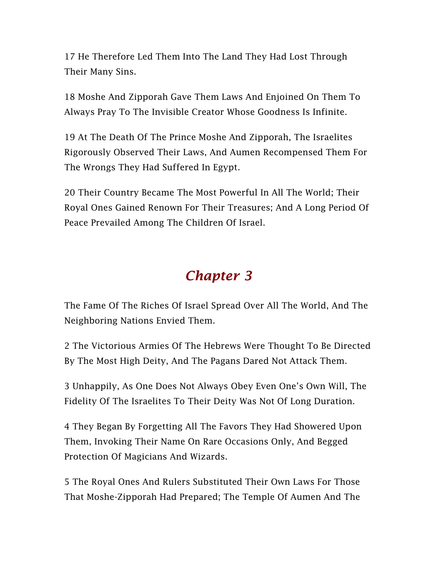17 He Therefore Led Them Into The Land They Had Lost Through Their Many Sins.

18 Moshe And Zipporah Gave Them Laws And Enjoined On Them To Always Pray To The Invisible Creator Whose Goodness Is Infinite.

19 At The Death Of The Prince Moshe And Zipporah, The Israelites Rigorously Observed Their Laws, And Aumen Recompensed Them For The Wrongs They Had Suffered In Egypt.

20 Their Country Became The Most Powerful In All The World; Their Royal Ones Gained Renown For Their Treasures; And A Long Period Of Peace Prevailed Among The Children Of Israel.

#### *Chapter 3*

The Fame Of The Riches Of Israel Spread Over All The World, And The Neighboring Nations Envied Them.

2 The Victorious Armies Of The Hebrews Were Thought To Be Directed By The Most High Deity, And The Pagans Dared Not Attack Them.

3 Unhappily, As One Does Not Always Obey Even One's Own Will, The Fidelity Of The Israelites To Their Deity Was Not Of Long Duration.

4 They Began By Forgetting All The Favors They Had Showered Upon Them, Invoking Their Name On Rare Occasions Only, And Begged Protection Of Magicians And Wizards.

5 The Royal Ones And Rulers Substituted Their Own Laws For Those That Moshe-Zipporah Had Prepared; The Temple Of Aumen And The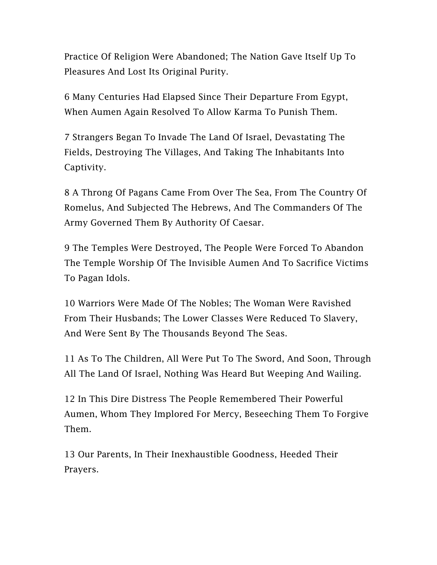Practice Of Religion Were Abandoned; The Nation Gave Itself Up To Pleasures And Lost Its Original Purity.

6 Many Centuries Had Elapsed Since Their Departure From Egypt, When Aumen Again Resolved To Allow Karma To Punish Them.

7 Strangers Began To Invade The Land Of Israel, Devastating The Fields, Destroying The Villages, And Taking The Inhabitants Into Captivity.

8 A Throng Of Pagans Came From Over The Sea, From The Country Of Romelus, And Subjected The Hebrews, And The Commanders Of The Army Governed Them By Authority Of Caesar.

9 The Temples Were Destroyed, The People Were Forced To Abandon The Temple Worship Of The Invisible Aumen And To Sacrifice Victims To Pagan Idols.

10 Warriors Were Made Of The Nobles; The Woman Were Ravished From Their Husbands; The Lower Classes Were Reduced To Slavery, And Were Sent By The Thousands Beyond The Seas.

11 As To The Children, All Were Put To The Sword, And Soon, Through All The Land Of Israel, Nothing Was Heard But Weeping And Wailing.

12 In This Dire Distress The People Remembered Their Powerful Aumen, Whom They Implored For Mercy, Beseeching Them To Forgive Them.

13 Our Parents, In Their Inexhaustible Goodness, Heeded Their Prayers.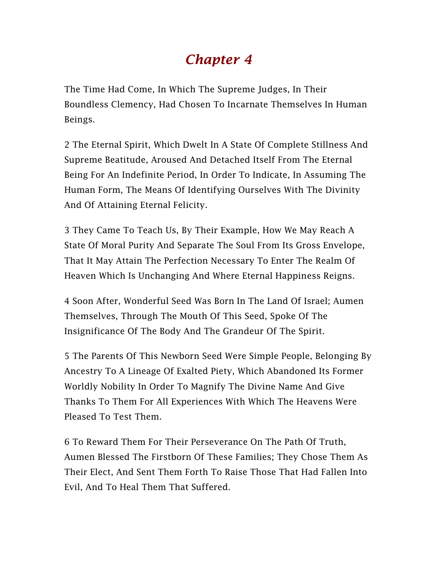## *Chapter 4*

The Time Had Come, In Which The Supreme Judges, In Their Boundless Clemency, Had Chosen To Incarnate Themselves In Human Beings.

2 The Eternal Spirit, Which Dwelt In A State Of Complete Stillness And Supreme Beatitude, Aroused And Detached Itself From The Eternal Being For An Indefinite Period, In Order To Indicate, In Assuming The Human Form, The Means Of Identifying Ourselves With The Divinity And Of Attaining Eternal Felicity.

3 They Came To Teach Us, By Their Example, How We May Reach A State Of Moral Purity And Separate The Soul From Its Gross Envelope, That It May Attain The Perfection Necessary To Enter The Realm Of Heaven Which Is Unchanging And Where Eternal Happiness Reigns.

4 Soon After, Wonderful Seed Was Born In The Land Of Israel; Aumen Themselves, Through The Mouth Of This Seed, Spoke Of The Insignificance Of The Body And The Grandeur Of The Spirit.

5 The Parents Of This Newborn Seed Were Simple People, Belonging By Ancestry To A Lineage Of Exalted Piety, Which Abandoned Its Former Worldly Nobility In Order To Magnify The Divine Name And Give Thanks To Them For All Experiences With Which The Heavens Were Pleased To Test Them.

6 To Reward Them For Their Perseverance On The Path Of Truth, Aumen Blessed The Firstborn Of These Families; They Chose Them As Their Elect, And Sent Them Forth To Raise Those That Had Fallen Into Evil, And To Heal Them That Suffered.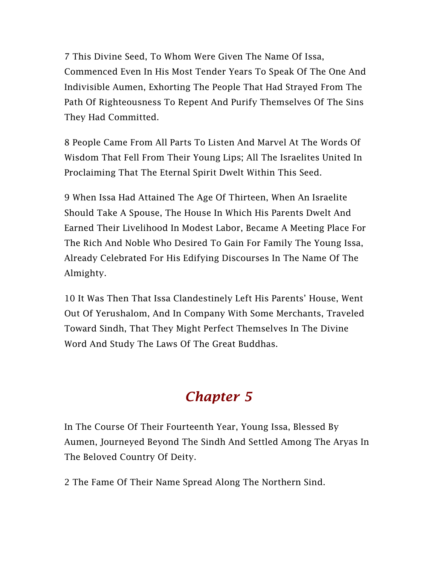7 This Divine Seed, To Whom Were Given The Name Of Issa, Commenced Even In His Most Tender Years To Speak Of The One And Indivisible Aumen, Exhorting The People That Had Strayed From The Path Of Righteousness To Repent And Purify Themselves Of The Sins They Had Committed.

8 People Came From All Parts To Listen And Marvel At The Words Of Wisdom That Fell From Their Young Lips; All The Israelites United In Proclaiming That The Eternal Spirit Dwelt Within This Seed.

9 When Issa Had Attained The Age Of Thirteen, When An Israelite Should Take A Spouse, The House In Which His Parents Dwelt And Earned Their Livelihood In Modest Labor, Became A Meeting Place For The Rich And Noble Who Desired To Gain For Family The Young Issa, Already Celebrated For His Edifying Discourses In The Name Of The Almighty.

10 It Was Then That Issa Clandestinely Left His Parents' House, Went Out Of Yerushalom, And In Company With Some Merchants, Traveled Toward Sindh, That They Might Perfect Themselves In The Divine Word And Study The Laws Of The Great Buddhas.

# *Chapter 5*

In The Course Of Their Fourteenth Year, Young Issa, Blessed By Aumen, Journeyed Beyond The Sindh And Settled Among The Aryas In The Beloved Country Of Deity.

2 The Fame Of Their Name Spread Along The Northern Sind.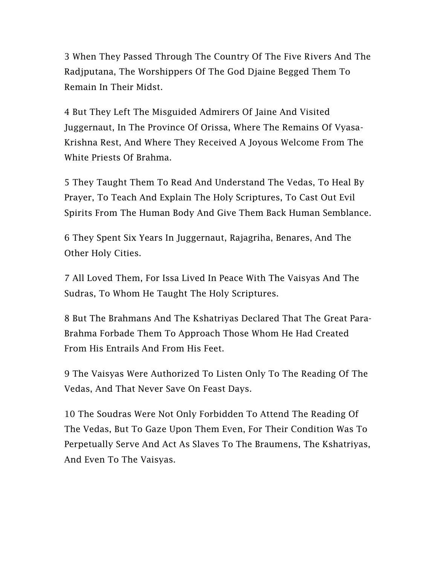3 When They Passed Through The Country Of The Five Rivers And The Radjputana, The Worshippers Of The God Djaine Begged Them To Remain In Their Midst.

4 But They Left The Misguided Admirers Of Jaine And Visited Juggernaut, In The Province Of Orissa, Where The Remains Of Vyasa-Krishna Rest, And Where They Received A Joyous Welcome From The White Priests Of Brahma.

5 They Taught Them To Read And Understand The Vedas, To Heal By Prayer, To Teach And Explain The Holy Scriptures, To Cast Out Evil Spirits From The Human Body And Give Them Back Human Semblance.

6 They Spent Six Years In Juggernaut, Rajagriha, Benares, And The Other Holy Cities.

7 All Loved Them, For Issa Lived In Peace With The Vaisyas And The Sudras, To Whom He Taught The Holy Scriptures.

8 But The Brahmans And The Kshatriyas Declared That The Great Para-Brahma Forbade Them To Approach Those Whom He Had Created From His Entrails And From His Feet.

9 The Vaisyas Were Authorized To Listen Only To The Reading Of The Vedas, And That Never Save On Feast Days.

10 The Soudras Were Not Only Forbidden To Attend The Reading Of The Vedas, But To Gaze Upon Them Even, For Their Condition Was To Perpetually Serve And Act As Slaves To The Braumens, The Kshatriyas, And Even To The Vaisyas.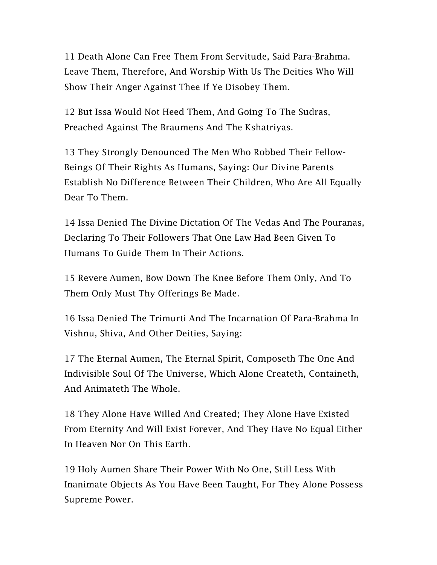11 Death Alone Can Free Them From Servitude, Said Para-Brahma. Leave Them, Therefore, And Worship With Us The Deities Who Will Show Their Anger Against Thee If Ye Disobey Them.

12 But Issa Would Not Heed Them, And Going To The Sudras, Preached Against The Braumens And The Kshatriyas.

13 They Strongly Denounced The Men Who Robbed Their Fellow-Beings Of Their Rights As Humans, Saying: Our Divine Parents Establish No Difference Between Their Children, Who Are All Equally Dear To Them.

14 Issa Denied The Divine Dictation Of The Vedas And The Pouranas, Declaring To Their Followers That One Law Had Been Given To Humans To Guide Them In Their Actions.

15 Revere Aumen, Bow Down The Knee Before Them Only, And To Them Only Must Thy Offerings Be Made.

16 Issa Denied The Trimurti And The Incarnation Of Para-Brahma In Vishnu, Shiva, And Other Deities, Saying:

17 The Eternal Aumen, The Eternal Spirit, Composeth The One And Indivisible Soul Of The Universe, Which Alone Createth, Containeth, And Animateth The Whole.

18 They Alone Have Willed And Created; They Alone Have Existed From Eternity And Will Exist Forever, And They Have No Equal Either In Heaven Nor On This Earth.

19 Holy Aumen Share Their Power With No One, Still Less With Inanimate Objects As You Have Been Taught, For They Alone Possess Supreme Power.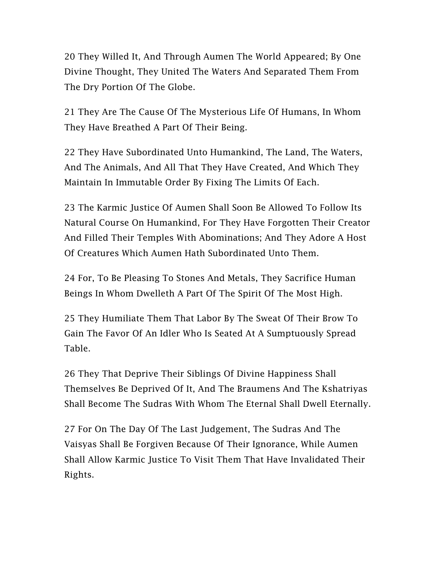20 They Willed It, And Through Aumen The World Appeared; By One Divine Thought, They United The Waters And Separated Them From The Dry Portion Of The Globe.

21 They Are The Cause Of The Mysterious Life Of Humans, In Whom They Have Breathed A Part Of Their Being.

22 They Have Subordinated Unto Humankind, The Land, The Waters, And The Animals, And All That They Have Created, And Which They Maintain In Immutable Order By Fixing The Limits Of Each.

23 The Karmic Justice Of Aumen Shall Soon Be Allowed To Follow Its Natural Course On Humankind, For They Have Forgotten Their Creator And Filled Their Temples With Abominations; And They Adore A Host Of Creatures Which Aumen Hath Subordinated Unto Them.

24 For, To Be Pleasing To Stones And Metals, They Sacrifice Human Beings In Whom Dwelleth A Part Of The Spirit Of The Most High.

25 They Humiliate Them That Labor By The Sweat Of Their Brow To Gain The Favor Of An Idler Who Is Seated At A Sumptuously Spread Table.

26 They That Deprive Their Siblings Of Divine Happiness Shall Themselves Be Deprived Of It, And The Braumens And The Kshatriyas Shall Become The Sudras With Whom The Eternal Shall Dwell Eternally.

27 For On The Day Of The Last Judgement, The Sudras And The Vaisyas Shall Be Forgiven Because Of Their Ignorance, While Aumen Shall Allow Karmic Justice To Visit Them That Have Invalidated Their Rights.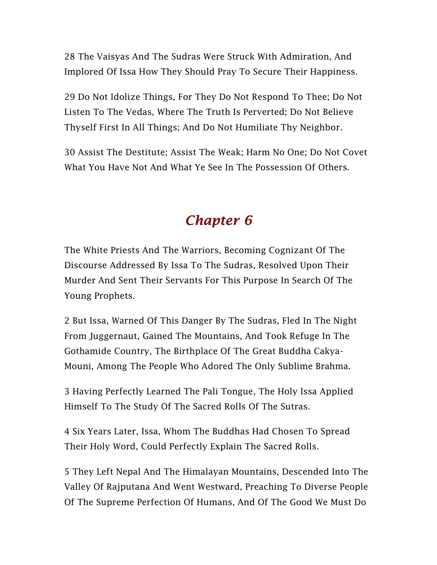28 The Vaisyas And The Sudras Were Struck With Admiration, And Implored Of Issa How They Should Pray To Secure Their Happiness.

29 Do Not Idolize Things, For They Do Not Respond To Thee; Do Not Listen To The Vedas, Where The Truth Is Perverted; Do Not Believe Thyself First In All Things; And Do Not Humiliate Thy Neighbor.

30 Assist The Destitute; Assist The Weak; Harm No One; Do Not Covet What You Have Not And What Ye See In The Possession Of Others.

# *Chapter 6*

The White Priests And The Warriors, Becoming Cognizant Of The Discourse Addressed By Issa To The Sudras, Resolved Upon Their Murder And Sent Their Servants For This Purpose In Search Of The Young Prophets.

2 But Issa, Warned Of This Danger By The Sudras, Fled In The Night From Juggernaut, Gained The Mountains, And Took Refuge In The Gothamide Country, The Birthplace Of The Great Buddha Cakya-Mouni, Among The People Who Adored The Only Sublime Brahma.

3 Having Perfectly Learned The Pali Tongue, The Holy Issa Applied Himself To The Study Of The Sacred Rolls Of The Sutras.

4 Six Years Later, Issa, Whom The Buddhas Had Chosen To Spread Their Holy Word, Could Perfectly Explain The Sacred Rolls.

5 They Left Nepal And The Himalayan Mountains, Descended Into The Valley Of Rajputana And Went Westward, Preaching To Diverse People Of The Supreme Perfection Of Humans, And Of The Good We Must Do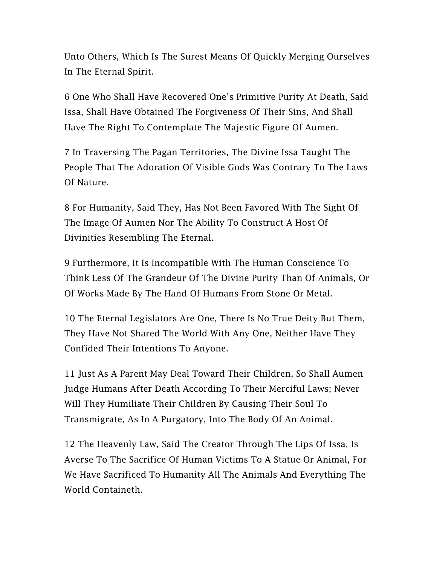Unto Others, Which Is The Surest Means Of Quickly Merging Ourselves In The Eternal Spirit.

6 One Who Shall Have Recovered One's Primitive Purity At Death, Said Issa, Shall Have Obtained The Forgiveness Of Their Sins, And Shall Have The Right To Contemplate The Majestic Figure Of Aumen.

7 In Traversing The Pagan Territories, The Divine Issa Taught The People That The Adoration Of Visible Gods Was Contrary To The Laws Of Nature.

8 For Humanity, Said They, Has Not Been Favored With The Sight Of The Image Of Aumen Nor The Ability To Construct A Host Of Divinities Resembling The Eternal.

9 Furthermore, It Is Incompatible With The Human Conscience To Think Less Of The Grandeur Of The Divine Purity Than Of Animals, Or Of Works Made By The Hand Of Humans From Stone Or Metal.

10 The Eternal Legislators Are One, There Is No True Deity But Them, They Have Not Shared The World With Any One, Neither Have They Confided Their Intentions To Anyone.

11 Just As A Parent May Deal Toward Their Children, So Shall Aumen Judge Humans After Death According To Their Merciful Laws; Never Will They Humiliate Their Children By Causing Their Soul To Transmigrate, As In A Purgatory, Into The Body Of An Animal.

12 The Heavenly Law, Said The Creator Through The Lips Of Issa, Is Averse To The Sacrifice Of Human Victims To A Statue Or Animal, For We Have Sacrificed To Humanity All The Animals And Everything The World Containeth.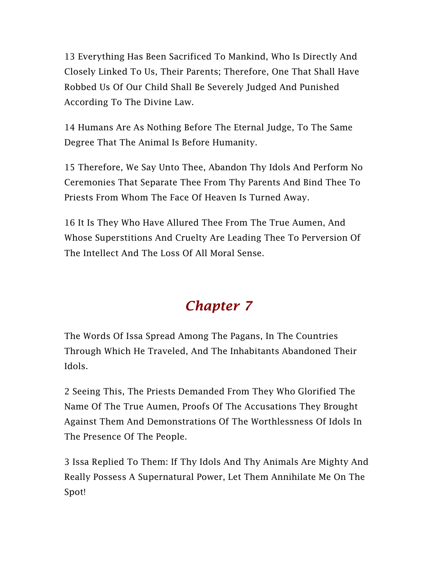13 Everything Has Been Sacrificed To Mankind, Who Is Directly And Closely Linked To Us, Their Parents; Therefore, One That Shall Have Robbed Us Of Our Child Shall Be Severely Judged And Punished According To The Divine Law.

14 Humans Are As Nothing Before The Eternal Judge, To The Same Degree That The Animal Is Before Humanity.

15 Therefore, We Say Unto Thee, Abandon Thy Idols And Perform No Ceremonies That Separate Thee From Thy Parents And Bind Thee To Priests From Whom The Face Of Heaven Is Turned Away.

16 It Is They Who Have Allured Thee From The True Aumen, And Whose Superstitions And Cruelty Are Leading Thee To Perversion Of The Intellect And The Loss Of All Moral Sense.

# *Chapter 7*

The Words Of Issa Spread Among The Pagans, In The Countries Through Which He Traveled, And The Inhabitants Abandoned Their Idols.

2 Seeing This, The Priests Demanded From They Who Glorified The Name Of The True Aumen, Proofs Of The Accusations They Brought Against Them And Demonstrations Of The Worthlessness Of Idols In The Presence Of The People.

3 Issa Replied To Them: If Thy Idols And Thy Animals Are Mighty And Really Possess A Supernatural Power, Let Them Annihilate Me On The Spot!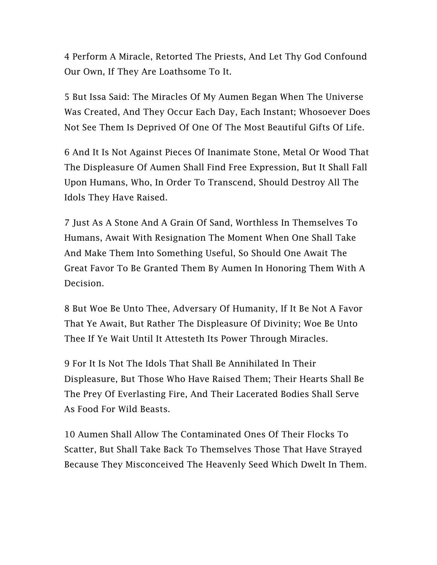4 Perform A Miracle, Retorted The Priests, And Let Thy God Confound Our Own, If They Are Loathsome To It.

5 But Issa Said: The Miracles Of My Aumen Began When The Universe Was Created, And They Occur Each Day, Each Instant; Whosoever Does Not See Them Is Deprived Of One Of The Most Beautiful Gifts Of Life.

6 And It Is Not Against Pieces Of Inanimate Stone, Metal Or Wood That The Displeasure Of Aumen Shall Find Free Expression, But It Shall Fall Upon Humans, Who, In Order To Transcend, Should Destroy All The Idols They Have Raised.

7 Just As A Stone And A Grain Of Sand, Worthless In Themselves To Humans, Await With Resignation The Moment When One Shall Take And Make Them Into Something Useful, So Should One Await The Great Favor To Be Granted Them By Aumen In Honoring Them With A Decision.

8 But Woe Be Unto Thee, Adversary Of Humanity, If It Be Not A Favor That Ye Await, But Rather The Displeasure Of Divinity; Woe Be Unto Thee If Ye Wait Until It Attesteth Its Power Through Miracles.

9 For It Is Not The Idols That Shall Be Annihilated In Their Displeasure, But Those Who Have Raised Them; Their Hearts Shall Be The Prey Of Everlasting Fire, And Their Lacerated Bodies Shall Serve As Food For Wild Beasts.

10 Aumen Shall Allow The Contaminated Ones Of Their Flocks To Scatter, But Shall Take Back To Themselves Those That Have Strayed Because They Misconceived The Heavenly Seed Which Dwelt In Them.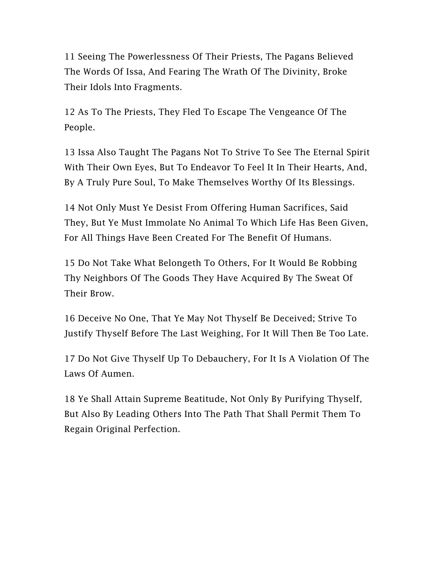11 Seeing The Powerlessness Of Their Priests, The Pagans Believed The Words Of Issa, And Fearing The Wrath Of The Divinity, Broke Their Idols Into Fragments.

12 As To The Priests, They Fled To Escape The Vengeance Of The People.

13 Issa Also Taught The Pagans Not To Strive To See The Eternal Spirit With Their Own Eyes, But To Endeavor To Feel It In Their Hearts, And, By A Truly Pure Soul, To Make Themselves Worthy Of Its Blessings.

14 Not Only Must Ye Desist From Offering Human Sacrifices, Said They, But Ye Must Immolate No Animal To Which Life Has Been Given, For All Things Have Been Created For The Benefit Of Humans.

15 Do Not Take What Belongeth To Others, For It Would Be Robbing Thy Neighbors Of The Goods They Have Acquired By The Sweat Of Their Brow.

16 Deceive No One, That Ye May Not Thyself Be Deceived; Strive To Justify Thyself Before The Last Weighing, For It Will Then Be Too Late.

17 Do Not Give Thyself Up To Debauchery, For It Is A Violation Of The Laws Of Aumen.

18 Ye Shall Attain Supreme Beatitude, Not Only By Purifying Thyself, But Also By Leading Others Into The Path That Shall Permit Them To Regain Original Perfection.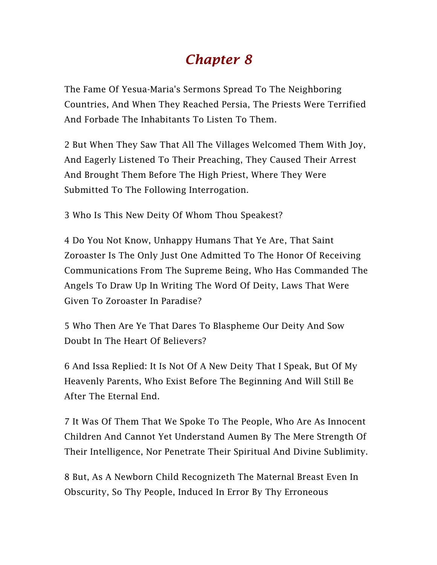## *Chapter 8*

The Fame Of Yesua-Maria's Sermons Spread To The Neighboring Countries, And When They Reached Persia, The Priests Were Terrified And Forbade The Inhabitants To Listen To Them.

2 But When They Saw That All The Villages Welcomed Them With Joy, And Eagerly Listened To Their Preaching, They Caused Their Arrest And Brought Them Before The High Priest, Where They Were Submitted To The Following Interrogation.

3 Who Is This New Deity Of Whom Thou Speakest?

4 Do You Not Know, Unhappy Humans That Ye Are, That Saint Zoroaster Is The Only Just One Admitted To The Honor Of Receiving Communications From The Supreme Being, Who Has Commanded The Angels To Draw Up In Writing The Word Of Deity, Laws That Were Given To Zoroaster In Paradise?

5 Who Then Are Ye That Dares To Blaspheme Our Deity And Sow Doubt In The Heart Of Believers?

6 And Issa Replied: It Is Not Of A New Deity That I Speak, But Of My Heavenly Parents, Who Exist Before The Beginning And Will Still Be After The Eternal End.

7 It Was Of Them That We Spoke To The People, Who Are As Innocent Children And Cannot Yet Understand Aumen By The Mere Strength Of Their Intelligence, Nor Penetrate Their Spiritual And Divine Sublimity.

8 But, As A Newborn Child Recognizeth The Maternal Breast Even In Obscurity, So Thy People, Induced In Error By Thy Erroneous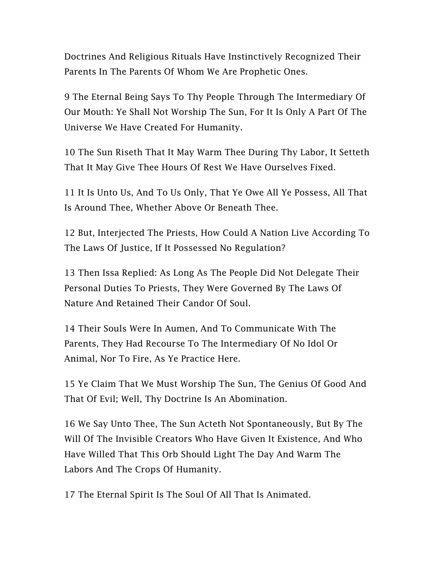Doctrines And Religious Rituals Have Instinctively Recognized Their Parents In The Parents Of Whom We Are Prophetic Ones.

9 The Eternal Being Says To Thy People Through The Intermediary Of Our Mouth: Ye Shall Not Worship The Sun, For It Is Only A Part Of The Universe We Have Created For Humanity.

10 The Sun Riseth That It May Warm Thee During Thy Labor, It Setteth That It May Give Thee Hours Of Rest We Have Ourselves Fixed.

11 It Is Unto Us, And To Us Only, That Ye Owe All Ye Possess, All That Is Around Thee, Whether Above Or Beneath Thee.

12 But, Interjected The Priests, How Could A Nation Live According To The Laws Of Justice, If It Possessed No Regulation?

13 Then Issa Replied: As Long As The People Did Not Delegate Their Personal Duties To Priests, They Were Governed By The Laws Of Nature And Retained Their Candor Of Soul.

14 Their Souls Were In Aumen, And To Communicate With The Parents, They Had Recourse To The Intermediary Of No Idol Or Animal, Nor To Fire, As Ye Practice Here.

15 Ye Claim That We Must Worship The Sun, The Genius Of Good And That Of Evil; Well, Thy Doctrine Is An Abomination.

16 We Say Unto Thee, The Sun Acteth Not Spontaneously, But By The Will Of The Invisible Creators Who Have Given It Existence, And Who Have Willed That This Orb Should Light The Day And Warm The Labors And The Crops Of Humanity.

17 The Eternal Spirit Is The Soul Of All That Is Animated.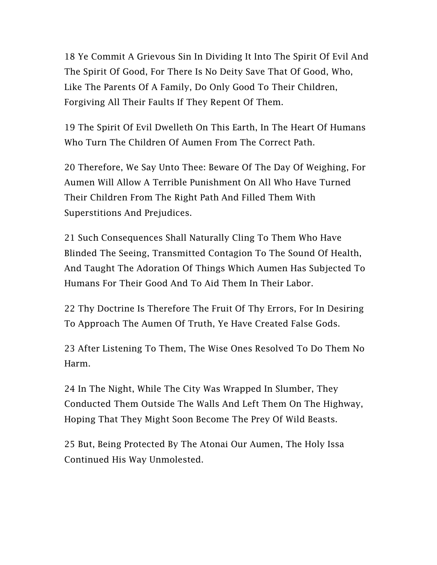18 Ye Commit A Grievous Sin In Dividing It Into The Spirit Of Evil And The Spirit Of Good, For There Is No Deity Save That Of Good, Who, Like The Parents Of A Family, Do Only Good To Their Children, Forgiving All Their Faults If They Repent Of Them.

19 The Spirit Of Evil Dwelleth On This Earth, In The Heart Of Humans Who Turn The Children Of Aumen From The Correct Path.

20 Therefore, We Say Unto Thee: Beware Of The Day Of Weighing, For Aumen Will Allow A Terrible Punishment On All Who Have Turned Their Children From The Right Path And Filled Them With Superstitions And Prejudices.

21 Such Consequences Shall Naturally Cling To Them Who Have Blinded The Seeing, Transmitted Contagion To The Sound Of Health, And Taught The Adoration Of Things Which Aumen Has Subjected To Humans For Their Good And To Aid Them In Their Labor.

22 Thy Doctrine Is Therefore The Fruit Of Thy Errors, For In Desiring To Approach The Aumen Of Truth, Ye Have Created False Gods.

23 After Listening To Them, The Wise Ones Resolved To Do Them No Harm.

24 In The Night, While The City Was Wrapped In Slumber, They Conducted Them Outside The Walls And Left Them On The Highway, Hoping That They Might Soon Become The Prey Of Wild Beasts.

25 But, Being Protected By The Atonai Our Aumen, The Holy Issa Continued His Way Unmolested.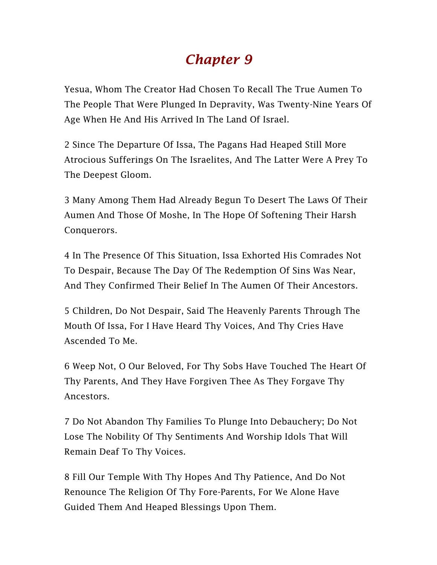## *Chapter 9*

Yesua, Whom The Creator Had Chosen To Recall The True Aumen To The People That Were Plunged In Depravity, Was Twenty-Nine Years Of Age When He And His Arrived In The Land Of Israel.

2 Since The Departure Of Issa, The Pagans Had Heaped Still More Atrocious Sufferings On The Israelites, And The Latter Were A Prey To The Deepest Gloom.

3 Many Among Them Had Already Begun To Desert The Laws Of Their Aumen And Those Of Moshe, In The Hope Of Softening Their Harsh Conquerors.

4 In The Presence Of This Situation, Issa Exhorted His Comrades Not To Despair, Because The Day Of The Redemption Of Sins Was Near, And They Confirmed Their Belief In The Aumen Of Their Ancestors.

5 Children, Do Not Despair, Said The Heavenly Parents Through The Mouth Of Issa, For I Have Heard Thy Voices, And Thy Cries Have Ascended To Me.

6 Weep Not, O Our Beloved, For Thy Sobs Have Touched The Heart Of Thy Parents, And They Have Forgiven Thee As They Forgave Thy Ancestors.

7 Do Not Abandon Thy Families To Plunge Into Debauchery; Do Not Lose The Nobility Of Thy Sentiments And Worship Idols That Will Remain Deaf To Thy Voices.

8 Fill Our Temple With Thy Hopes And Thy Patience, And Do Not Renounce The Religion Of Thy Fore-Parents, For We Alone Have Guided Them And Heaped Blessings Upon Them.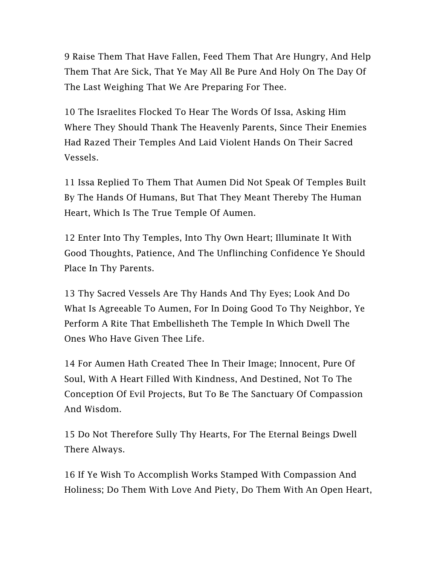9 Raise Them That Have Fallen, Feed Them That Are Hungry, And Help Them That Are Sick, That Ye May All Be Pure And Holy On The Day Of The Last Weighing That We Are Preparing For Thee.

10 The Israelites Flocked To Hear The Words Of Issa, Asking Him Where They Should Thank The Heavenly Parents, Since Their Enemies Had Razed Their Temples And Laid Violent Hands On Their Sacred Vessels.

11 Issa Replied To Them That Aumen Did Not Speak Of Temples Built By The Hands Of Humans, But That They Meant Thereby The Human Heart, Which Is The True Temple Of Aumen.

12 Enter Into Thy Temples, Into Thy Own Heart; Illuminate It With Good Thoughts, Patience, And The Unflinching Confidence Ye Should Place In Thy Parents.

13 Thy Sacred Vessels Are Thy Hands And Thy Eyes; Look And Do What Is Agreeable To Aumen, For In Doing Good To Thy Neighbor, Ye Perform A Rite That Embellisheth The Temple In Which Dwell The Ones Who Have Given Thee Life.

14 For Aumen Hath Created Thee In Their Image; Innocent, Pure Of Soul, With A Heart Filled With Kindness, And Destined, Not To The Conception Of Evil Projects, But To Be The Sanctuary Of Compassion And Wisdom.

15 Do Not Therefore Sully Thy Hearts, For The Eternal Beings Dwell There Always.

16 If Ye Wish To Accomplish Works Stamped With Compassion And Holiness; Do Them With Love And Piety, Do Them With An Open Heart,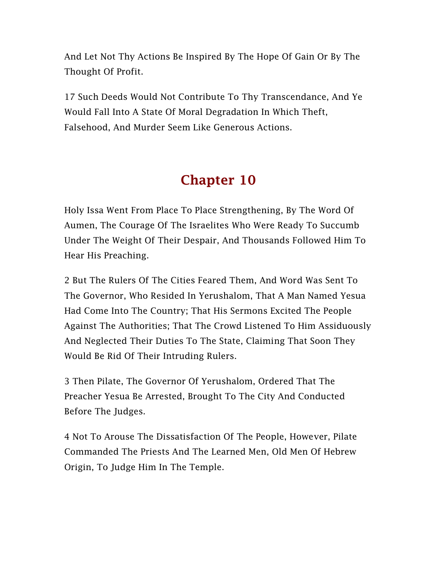And Let Not Thy Actions Be Inspired By The Hope Of Gain Or By The Thought Of Profit.

17 Such Deeds Would Not Contribute To Thy Transcendance, And Ye Would Fall Into A State Of Moral Degradation In Which Theft, Falsehood, And Murder Seem Like Generous Actions.

## Chapter 10

Holy Issa Went From Place To Place Strengthening, By The Word Of Aumen, The Courage Of The Israelites Who Were Ready To Succumb Under The Weight Of Their Despair, And Thousands Followed Him To Hear His Preaching.

2 But The Rulers Of The Cities Feared Them, And Word Was Sent To The Governor, Who Resided In Yerushalom, That A Man Named Yesua Had Come Into The Country; That His Sermons Excited The People Against The Authorities; That The Crowd Listened To Him Assiduously And Neglected Their Duties To The State, Claiming That Soon They Would Be Rid Of Their Intruding Rulers.

3 Then Pilate, The Governor Of Yerushalom, Ordered That The Preacher Yesua Be Arrested, Brought To The City And Conducted Before The Judges.

4 Not To Arouse The Dissatisfaction Of The People, However, Pilate Commanded The Priests And The Learned Men, Old Men Of Hebrew Origin, To Judge Him In The Temple.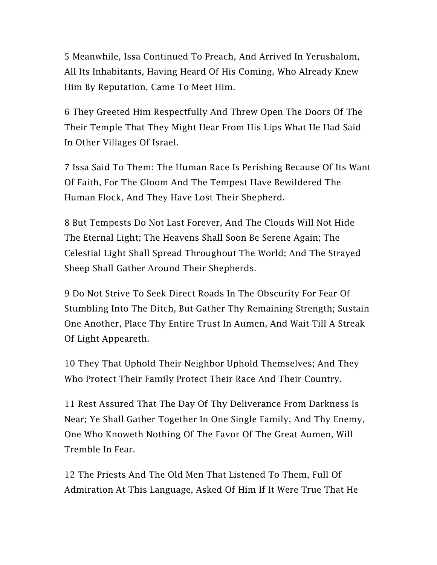5 Meanwhile, Issa Continued To Preach, And Arrived In Yerushalom, All Its Inhabitants, Having Heard Of His Coming, Who Already Knew Him By Reputation, Came To Meet Him.

6 They Greeted Him Respectfully And Threw Open The Doors Of The Their Temple That They Might Hear From His Lips What He Had Said In Other Villages Of Israel.

7 Issa Said To Them: The Human Race Is Perishing Because Of Its Want Of Faith, For The Gloom And The Tempest Have Bewildered The Human Flock, And They Have Lost Their Shepherd.

8 But Tempests Do Not Last Forever, And The Clouds Will Not Hide The Eternal Light; The Heavens Shall Soon Be Serene Again; The Celestial Light Shall Spread Throughout The World; And The Strayed Sheep Shall Gather Around Their Shepherds.

9 Do Not Strive To Seek Direct Roads In The Obscurity For Fear Of Stumbling Into The Ditch, But Gather Thy Remaining Strength; Sustain One Another, Place Thy Entire Trust In Aumen, And Wait Till A Streak Of Light Appeareth.

10 They That Uphold Their Neighbor Uphold Themselves; And They Who Protect Their Family Protect Their Race And Their Country.

11 Rest Assured That The Day Of Thy Deliverance From Darkness Is Near; Ye Shall Gather Together In One Single Family, And Thy Enemy, One Who Knoweth Nothing Of The Favor Of The Great Aumen, Will Tremble In Fear.

12 The Priests And The Old Men That Listened To Them, Full Of Admiration At This Language, Asked Of Him If It Were True That He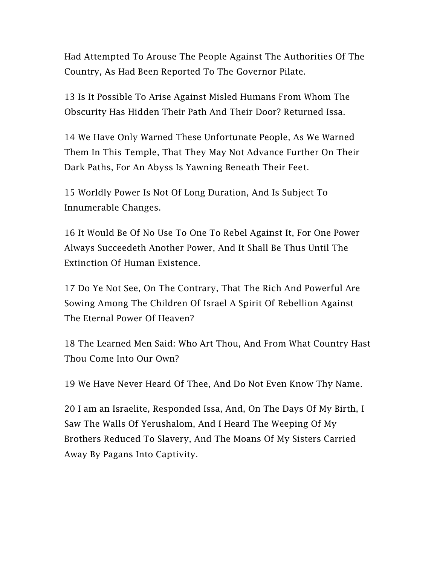Had Attempted To Arouse The People Against The Authorities Of The Country, As Had Been Reported To The Governor Pilate.

13 Is It Possible To Arise Against Misled Humans From Whom The Obscurity Has Hidden Their Path And Their Door? Returned Issa.

14 We Have Only Warned These Unfortunate People, As We Warned Them In This Temple, That They May Not Advance Further On Their Dark Paths, For An Abyss Is Yawning Beneath Their Feet.

15 Worldly Power Is Not Of Long Duration, And Is Subject To Innumerable Changes.

16 It Would Be Of No Use To One To Rebel Against It, For One Power Always Succeedeth Another Power, And It Shall Be Thus Until The Extinction Of Human Existence.

17 Do Ye Not See, On The Contrary, That The Rich And Powerful Are Sowing Among The Children Of Israel A Spirit Of Rebellion Against The Eternal Power Of Heaven?

18 The Learned Men Said: Who Art Thou, And From What Country Hast Thou Come Into Our Own?

19 We Have Never Heard Of Thee, And Do Not Even Know Thy Name.

20 I am an Israelite, Responded Issa, And, On The Days Of My Birth, I Saw The Walls Of Yerushalom, And I Heard The Weeping Of My Brothers Reduced To Slavery, And The Moans Of My Sisters Carried Away By Pagans Into Captivity.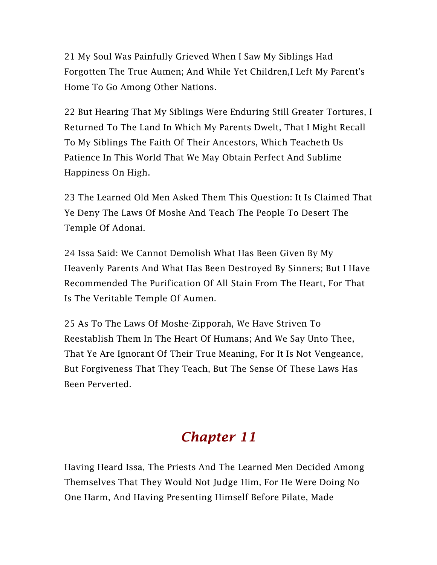21 My Soul Was Painfully Grieved When I Saw My Siblings Had Forgotten The True Aumen; And While Yet Children,I Left My Parent's Home To Go Among Other Nations.

22 But Hearing That My Siblings Were Enduring Still Greater Tortures, I Returned To The Land In Which My Parents Dwelt, That I Might Recall To My Siblings The Faith Of Their Ancestors, Which Teacheth Us Patience In This World That We May Obtain Perfect And Sublime Happiness On High.

23 The Learned Old Men Asked Them This Question: It Is Claimed That Ye Deny The Laws Of Moshe And Teach The People To Desert The Temple Of Adonai.

24 Issa Said: We Cannot Demolish What Has Been Given By My Heavenly Parents And What Has Been Destroyed By Sinners; But I Have Recommended The Purification Of All Stain From The Heart, For That Is The Veritable Temple Of Aumen.

25 As To The Laws Of Moshe-Zipporah, We Have Striven To Reestablish Them In The Heart Of Humans; And We Say Unto Thee, That Ye Are Ignorant Of Their True Meaning, For It Is Not Vengeance, But Forgiveness That They Teach, But The Sense Of These Laws Has Been Perverted.

# *Chapter 11*

Having Heard Issa, The Priests And The Learned Men Decided Among Themselves That They Would Not Judge Him, For He Were Doing No One Harm, And Having Presenting Himself Before Pilate, Made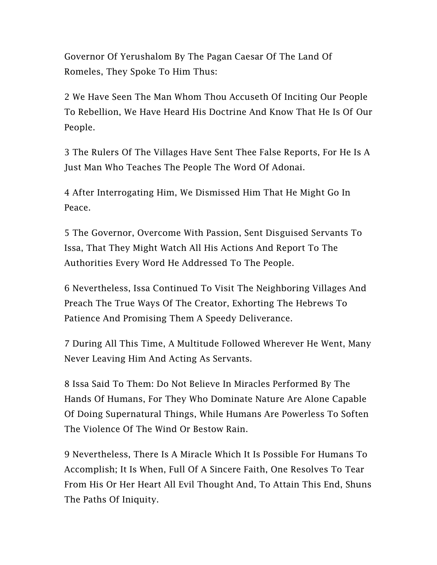Governor Of Yerushalom By The Pagan Caesar Of The Land Of Romeles, They Spoke To Him Thus:

2 We Have Seen The Man Whom Thou Accuseth Of Inciting Our People To Rebellion, We Have Heard His Doctrine And Know That He Is Of Our People.

3 The Rulers Of The Villages Have Sent Thee False Reports, For He Is A Just Man Who Teaches The People The Word Of Adonai.

4 After Interrogating Him, We Dismissed Him That He Might Go In Peace.

5 The Governor, Overcome With Passion, Sent Disguised Servants To Issa, That They Might Watch All His Actions And Report To The Authorities Every Word He Addressed To The People.

6 Nevertheless, Issa Continued To Visit The Neighboring Villages And Preach The True Ways Of The Creator, Exhorting The Hebrews To Patience And Promising Them A Speedy Deliverance.

7 During All This Time, A Multitude Followed Wherever He Went, Many Never Leaving Him And Acting As Servants.

8 Issa Said To Them: Do Not Believe In Miracles Performed By The Hands Of Humans, For They Who Dominate Nature Are Alone Capable Of Doing Supernatural Things, While Humans Are Powerless To Soften The Violence Of The Wind Or Bestow Rain.

9 Nevertheless, There Is A Miracle Which It Is Possible For Humans To Accomplish; It Is When, Full Of A Sincere Faith, One Resolves To Tear From His Or Her Heart All Evil Thought And, To Attain This End, Shuns The Paths Of Iniquity.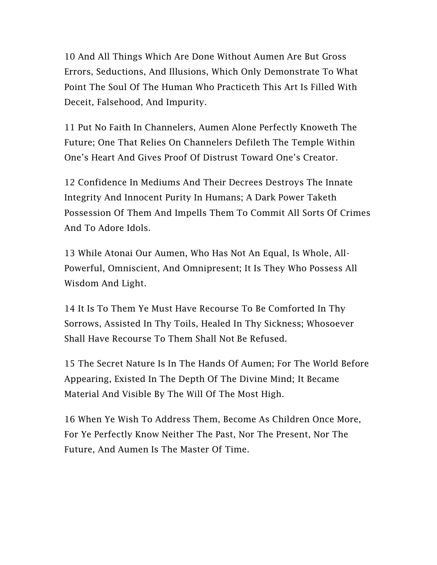10 And All Things Which Are Done Without Aumen Are But Gross Errors, Seductions, And Illusions, Which Only Demonstrate To What Point The Soul Of The Human Who Practiceth This Art Is Filled With Deceit, Falsehood, And Impurity.

11 Put No Faith In Channelers, Aumen Alone Perfectly Knoweth The Future; One That Relies On Channelers Defileth The Temple Within One's Heart And Gives Proof Of Distrust Toward One's Creator.

12 Confidence In Mediums And Their Decrees Destroys The Innate Integrity And Innocent Purity In Humans; A Dark Power Taketh Possession Of Them And Impells Them To Commit All Sorts Of Crimes And To Adore Idols.

13 While Atonai Our Aumen, Who Has Not An Equal, Is Whole, All-Powerful, Omniscient, And Omnipresent; It Is They Who Possess All Wisdom And Light.

14 It Is To Them Ye Must Have Recourse To Be Comforted In Thy Sorrows, Assisted In Thy Toils, Healed In Thy Sickness; Whosoever Shall Have Recourse To Them Shall Not Be Refused.

15 The Secret Nature Is In The Hands Of Aumen; For The World Before Appearing, Existed In The Depth Of The Divine Mind; It Became Material And Visible By The Will Of The Most High.

16 When Ye Wish To Address Them, Become As Children Once More, For Ye Perfectly Know Neither The Past, Nor The Present, Nor The Future, And Aumen Is The Master Of Time.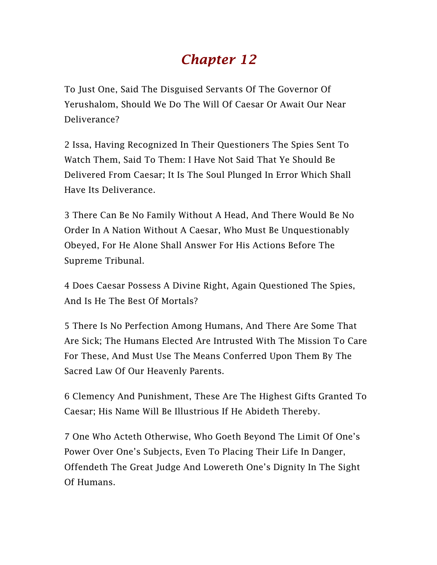## *Chapter 12*

To Just One, Said The Disguised Servants Of The Governor Of Yerushalom, Should We Do The Will Of Caesar Or Await Our Near Deliverance?

2 Issa, Having Recognized In Their Questioners The Spies Sent To Watch Them, Said To Them: I Have Not Said That Ye Should Be Delivered From Caesar; It Is The Soul Plunged In Error Which Shall Have Its Deliverance.

3 There Can Be No Family Without A Head, And There Would Be No Order In A Nation Without A Caesar, Who Must Be Unquestionably Obeyed, For He Alone Shall Answer For His Actions Before The Supreme Tribunal.

4 Does Caesar Possess A Divine Right, Again Questioned The Spies, And Is He The Best Of Mortals?

5 There Is No Perfection Among Humans, And There Are Some That Are Sick; The Humans Elected Are Intrusted With The Mission To Care For These, And Must Use The Means Conferred Upon Them By The Sacred Law Of Our Heavenly Parents.

6 Clemency And Punishment, These Are The Highest Gifts Granted To Caesar; His Name Will Be Illustrious If He Abideth Thereby.

7 One Who Acteth Otherwise, Who Goeth Beyond The Limit Of One's Power Over One's Subjects, Even To Placing Their Life In Danger, Offendeth The Great Judge And Lowereth One's Dignity In The Sight Of Humans.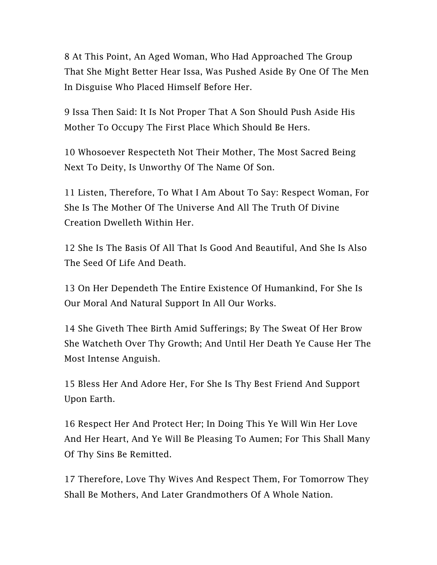8 At This Point, An Aged Woman, Who Had Approached The Group That She Might Better Hear Issa, Was Pushed Aside By One Of The Men In Disguise Who Placed Himself Before Her.

9 Issa Then Said: It Is Not Proper That A Son Should Push Aside His Mother To Occupy The First Place Which Should Be Hers.

10 Whosoever Respecteth Not Their Mother, The Most Sacred Being Next To Deity, Is Unworthy Of The Name Of Son.

11 Listen, Therefore, To What I Am About To Say: Respect Woman, For She Is The Mother Of The Universe And All The Truth Of Divine Creation Dwelleth Within Her.

12 She Is The Basis Of All That Is Good And Beautiful, And She Is Also The Seed Of Life And Death.

13 On Her Dependeth The Entire Existence Of Humankind, For She Is Our Moral And Natural Support In All Our Works.

14 She Giveth Thee Birth Amid Sufferings; By The Sweat Of Her Brow She Watcheth Over Thy Growth; And Until Her Death Ye Cause Her The Most Intense Anguish.

15 Bless Her And Adore Her, For She Is Thy Best Friend And Support Upon Earth.

16 Respect Her And Protect Her; In Doing This Ye Will Win Her Love And Her Heart, And Ye Will Be Pleasing To Aumen; For This Shall Many Of Thy Sins Be Remitted.

17 Therefore, Love Thy Wives And Respect Them, For Tomorrow They Shall Be Mothers, And Later Grandmothers Of A Whole Nation.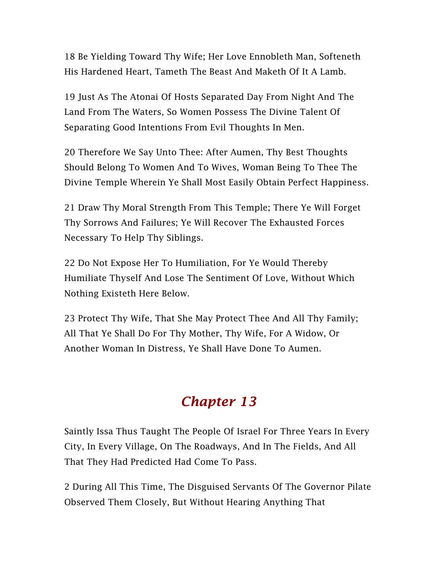18 Be Yielding Toward Thy Wife; Her Love Ennobleth Man, Softeneth His Hardened Heart, Tameth The Beast And Maketh Of It A Lamb.

19 Just As The Atonai Of Hosts Separated Day From Night And The Land From The Waters, So Women Possess The Divine Talent Of Separating Good Intentions From Evil Thoughts In Men.

20 Therefore We Say Unto Thee: After Aumen, Thy Best Thoughts Should Belong To Women And To Wives, Woman Being To Thee The Divine Temple Wherein Ye Shall Most Easily Obtain Perfect Happiness.

21 Draw Thy Moral Strength From This Temple; There Ye Will Forget Thy Sorrows And Failures; Ye Will Recover The Exhausted Forces Necessary To Help Thy Siblings.

22 Do Not Expose Her To Humiliation, For Ye Would Thereby Humiliate Thyself And Lose The Sentiment Of Love, Without Which Nothing Existeth Here Below.

23 Protect Thy Wife, That She May Protect Thee And All Thy Family; All That Ye Shall Do For Thy Mother, Thy Wife, For A Widow, Or Another Woman In Distress, Ye Shall Have Done To Aumen.

## *Chapter 13*

Saintly Issa Thus Taught The People Of Israel For Three Years In Every City, In Every Village, On The Roadways, And In The Fields, And All That They Had Predicted Had Come To Pass.

2 During All This Time, The Disguised Servants Of The Governor Pilate Observed Them Closely, But Without Hearing Anything That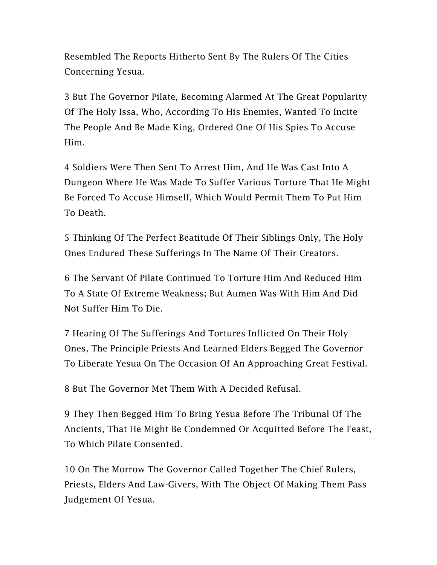Resembled The Reports Hitherto Sent By The Rulers Of The Cities Concerning Yesua.

3 But The Governor Pilate, Becoming Alarmed At The Great Popularity Of The Holy Issa, Who, According To His Enemies, Wanted To Incite The People And Be Made King, Ordered One Of His Spies To Accuse Him.

4 Soldiers Were Then Sent To Arrest Him, And He Was Cast Into A Dungeon Where He Was Made To Suffer Various Torture That He Might Be Forced To Accuse Himself, Which Would Permit Them To Put Him To Death.

5 Thinking Of The Perfect Beatitude Of Their Siblings Only, The Holy Ones Endured These Sufferings In The Name Of Their Creators.

6 The Servant Of Pilate Continued To Torture Him And Reduced Him To A State Of Extreme Weakness; But Aumen Was With Him And Did Not Suffer Him To Die.

7 Hearing Of The Sufferings And Tortures Inflicted On Their Holy Ones, The Principle Priests And Learned Elders Begged The Governor To Liberate Yesua On The Occasion Of An Approaching Great Festival.

8 But The Governor Met Them With A Decided Refusal.

9 They Then Begged Him To Bring Yesua Before The Tribunal Of The Ancients, That He Might Be Condemned Or Acquitted Before The Feast, To Which Pilate Consented.

10 On The Morrow The Governor Called Together The Chief Rulers, Priests, Elders And Law-Givers, With The Object Of Making Them Pass Judgement Of Yesua.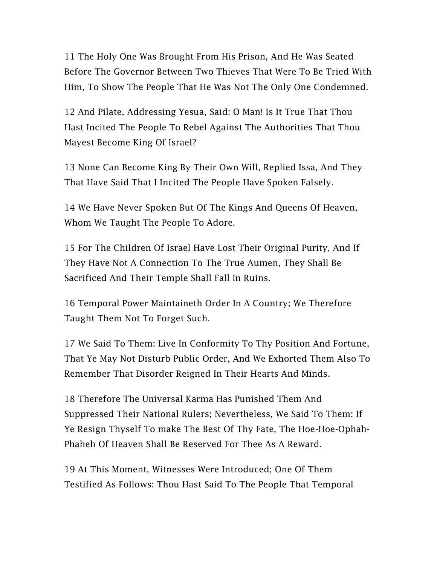11 The Holy One Was Brought From His Prison, And He Was Seated Before The Governor Between Two Thieves That Were To Be Tried With Him, To Show The People That He Was Not The Only One Condemned.

12 And Pilate, Addressing Yesua, Said: O Man! Is It True That Thou Hast Incited The People To Rebel Against The Authorities That Thou Mayest Become King Of Israel?

13 None Can Become King By Their Own Will, Replied Issa, And They That Have Said That I Incited The People Have Spoken Falsely.

14 We Have Never Spoken But Of The Kings And Queens Of Heaven, Whom We Taught The People To Adore.

15 For The Children Of Israel Have Lost Their Original Purity, And If They Have Not A Connection To The True Aumen, They Shall Be Sacrificed And Their Temple Shall Fall In Ruins.

16 Temporal Power Maintaineth Order In A Country; We Therefore Taught Them Not To Forget Such.

17 We Said To Them: Live In Conformity To Thy Position And Fortune, That Ye May Not Disturb Public Order, And We Exhorted Them Also To Remember That Disorder Reigned In Their Hearts And Minds.

18 Therefore The Universal Karma Has Punished Them And Suppressed Their National Rulers; Nevertheless, We Said To Them: If Ye Resign Thyself To make The Best Of Thy Fate, The Hoe-Hoe-Ophah-Phaheh Of Heaven Shall Be Reserved For Thee As A Reward.

19 At This Moment, Witnesses Were Introduced; One Of Them Testified As Follows: Thou Hast Said To The People That Temporal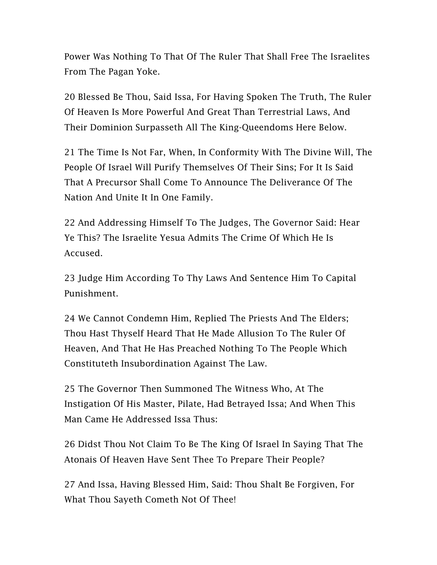Power Was Nothing To That Of The Ruler That Shall Free The Israelites From The Pagan Yoke.

20 Blessed Be Thou, Said Issa, For Having Spoken The Truth, The Ruler Of Heaven Is More Powerful And Great Than Terrestrial Laws, And Their Dominion Surpasseth All The King-Queendoms Here Below.

21 The Time Is Not Far, When, In Conformity With The Divine Will, The People Of Israel Will Purify Themselves Of Their Sins; For It Is Said That A Precursor Shall Come To Announce The Deliverance Of The Nation And Unite It In One Family.

22 And Addressing Himself To The Judges, The Governor Said: Hear Ye This? The Israelite Yesua Admits The Crime Of Which He Is Accused.

23 Judge Him According To Thy Laws And Sentence Him To Capital Punishment.

24 We Cannot Condemn Him, Replied The Priests And The Elders; Thou Hast Thyself Heard That He Made Allusion To The Ruler Of Heaven, And That He Has Preached Nothing To The People Which Constituteth Insubordination Against The Law.

25 The Governor Then Summoned The Witness Who, At The Instigation Of His Master, Pilate, Had Betrayed Issa; And When This Man Came He Addressed Issa Thus:

26 Didst Thou Not Claim To Be The King Of Israel In Saying That The Atonais Of Heaven Have Sent Thee To Prepare Their People?

27 And Issa, Having Blessed Him, Said: Thou Shalt Be Forgiven, For What Thou Sayeth Cometh Not Of Thee!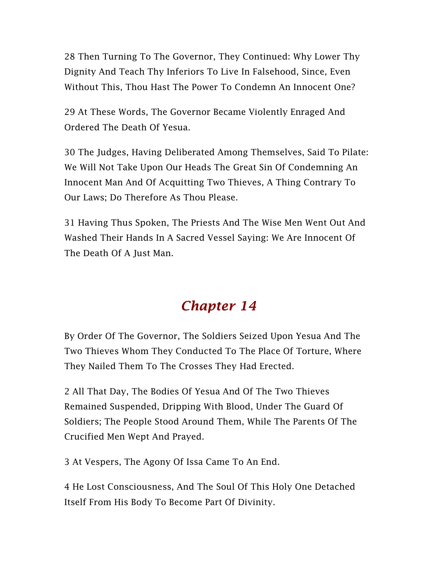28 Then Turning To The Governor, They Continued: Why Lower Thy Dignity And Teach Thy Inferiors To Live In Falsehood, Since, Even Without This, Thou Hast The Power To Condemn An Innocent One?

29 At These Words, The Governor Became Violently Enraged And Ordered The Death Of Yesua.

30 The Judges, Having Deliberated Among Themselves, Said To Pilate: We Will Not Take Upon Our Heads The Great Sin Of Condemning An Innocent Man And Of Acquitting Two Thieves, A Thing Contrary To Our Laws; Do Therefore As Thou Please.

31 Having Thus Spoken, The Priests And The Wise Men Went Out And Washed Their Hands In A Sacred Vessel Saying: We Are Innocent Of The Death Of A Just Man.

#### *Chapter 14*

By Order Of The Governor, The Soldiers Seized Upon Yesua And The Two Thieves Whom They Conducted To The Place Of Torture, Where They Nailed Them To The Crosses They Had Erected.

2 All That Day, The Bodies Of Yesua And Of The Two Thieves Remained Suspended, Dripping With Blood, Under The Guard Of Soldiers; The People Stood Around Them, While The Parents Of The Crucified Men Wept And Prayed.

3 At Vespers, The Agony Of Issa Came To An End.

4 He Lost Consciousness, And The Soul Of This Holy One Detached Itself From His Body To Become Part Of Divinity.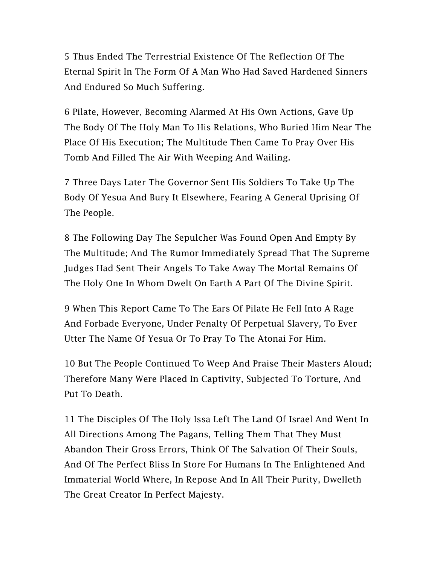5 Thus Ended The Terrestrial Existence Of The Reflection Of The Eternal Spirit In The Form Of A Man Who Had Saved Hardened Sinners And Endured So Much Suffering.

6 Pilate, However, Becoming Alarmed At His Own Actions, Gave Up The Body Of The Holy Man To His Relations, Who Buried Him Near The Place Of His Execution; The Multitude Then Came To Pray Over His Tomb And Filled The Air With Weeping And Wailing.

7 Three Days Later The Governor Sent His Soldiers To Take Up The Body Of Yesua And Bury It Elsewhere, Fearing A General Uprising Of The People.

8 The Following Day The Sepulcher Was Found Open And Empty By The Multitude; And The Rumor Immediately Spread That The Supreme Judges Had Sent Their Angels To Take Away The Mortal Remains Of The Holy One In Whom Dwelt On Earth A Part Of The Divine Spirit.

9 When This Report Came To The Ears Of Pilate He Fell Into A Rage And Forbade Everyone, Under Penalty Of Perpetual Slavery, To Ever Utter The Name Of Yesua Or To Pray To The Atonai For Him.

10 But The People Continued To Weep And Praise Their Masters Aloud; Therefore Many Were Placed In Captivity, Subjected To Torture, And Put To Death.

11 The Disciples Of The Holy Issa Left The Land Of Israel And Went In All Directions Among The Pagans, Telling Them That They Must Abandon Their Gross Errors, Think Of The Salvation Of Their Souls, And Of The Perfect Bliss In Store For Humans In The Enlightened And Immaterial World Where, In Repose And In All Their Purity, Dwelleth The Great Creator In Perfect Majesty.